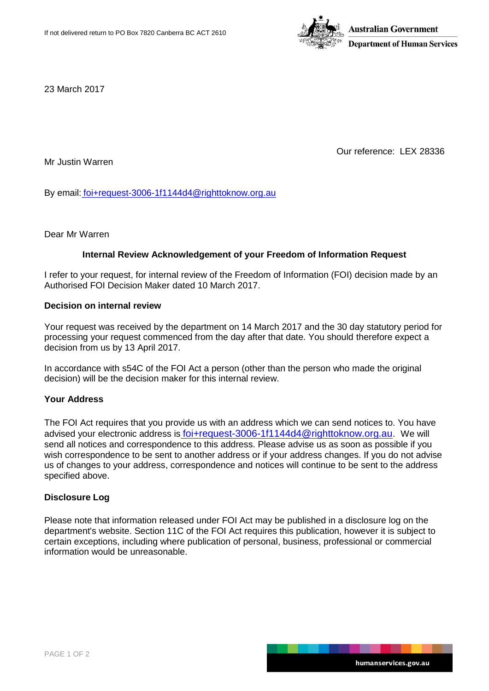

23 March 2017

Our reference: LEX 28336

Mr Justin Warren

By email: [foi+request-3006-1f1144d4@righttoknow.org.au](mailto:xxxxxxxxxxxxxxxxxxxxxxxxx@xxxxxxxxxxx.xxx.xx)

Dear Mr Warren

## **Internal Review Acknowledgement of your Freedom of Information Request**

I refer to your request, for internal review of the Freedom of Information (FOI) decision made by an Authorised FOI Decision Maker dated 10 March 2017.

### **Decision on internal review**

Your request was received by the department on 14 March 2017 and the 30 day statutory period for processing your request commenced from the day after that date. You should therefore expect a decision from us by 13 April 2017.

In accordance with s54C of the FOI Act a person (other than the person who made the original decision) will be the decision maker for this internal review.

## **Your Address**

The FOI Act requires that you provide us with an address which we can send notices to. You have advised your electronic address is [foi+request-3006-1f1144d4@righttoknow.org.au.](mailto:xxxxxxxxxxxxxxxxxxxxxxxxx@xxxxxxxxxxx.xxx.xx) We will send all notices and correspondence to this address. Please advise us as soon as possible if you wish correspondence to be sent to another address or if your address changes. If you do not advise us of changes to your address, correspondence and notices will continue to be sent to the address specified above.

## **Disclosure Log**

Please note that information released under FOI Act may be published in a disclosure log on the department's website. Section 11C of the FOI Act requires this publication, however it is subject to certain exceptions, including where publication of personal, business, professional or commercial information would be unreasonable.